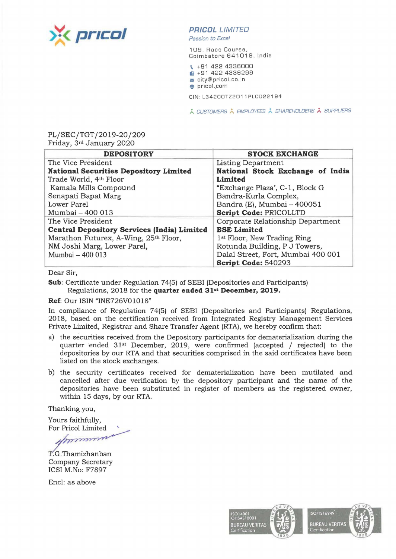

Passion to Excel

109, Race Course, Coimbatore 641018 , India

- \. +91 422 4336000 **iii** +91 422 4336299
- **m** city@pricol.co.in
- **e** pricol.\_com

CIN:L34200TZ2011PLC022194

**A CUSTOMERS À EMPLOYEES À SHAREHOLDERS À SUPPLIERS** 

## PL/SEC/TGT/2019-20/209 Friday, 3rd January 2020

| <b>DEPOSITORY</b>                                  | <b>STOCK EXCHANGE</b>                   |
|----------------------------------------------------|-----------------------------------------|
| The Vice President                                 | Listing Department                      |
| <b>National Securities Depository Limited</b>      | National Stock Exchange of India        |
| Trade World, 4th Floor                             | Limited                                 |
| Kamala Mills Compound                              | "Exchange Plaza", C-1, Block G          |
| Senapati Bapat Marg                                | Bandra-Kurla Complex,                   |
| Lower Parel                                        | Bandra (E), Mumbai - 400051             |
| Mumbai - 400 013                                   | Script Code: PRICOLLTD                  |
| The Vice President                                 | Corporate Relationship Department       |
| <b>Central Depository Services (India) Limited</b> | <b>BSE Limited</b>                      |
| Marathon Futurex, A-Wing, 25th Floor,              | 1 <sup>st</sup> Floor, New Trading Ring |
| NM Joshi Marg, Lower Parel,                        | Rotunda Building, P J Towers,           |
| Mumbai - 400 013                                   | Dalal Street, Fort, Mumbai 400 001      |
|                                                    | Script Code: 540293                     |

Dear Sir,

**Sub:** Certificate under Regulation 74(5) of SEBI (Depositories and Participants) Regulations, 2018 for the **quarter ended 31st December, 2019.** 

## **Ref:** Our ISIN "INE726V01018"

In compliance of Regulation 74(5) of SEBI (Depositories and Participants) Regulations, 2018, based on the certification received from Integrated Registry Management Services Private Limited, Registrar and Share Transfer Agent (RTA), we hereby confirm that:

- a) the securities received from the Depository participants for dematerialization during the quarter ended  $31<sup>st</sup>$  December, 2019, were confirmed (accepted / rejected) to the depositories by our RTA and that securities comprised in the said certificates have been listed on the stock exchanges.
- b) the security certificates received for dematerialization have been mutilated and cancelled after due verification by the depository participant and the name of the depositories have been substituted in register of members as the registered owner, within 15 days, by our RTA.

Thanking you,

Yours faithfully, For Pricol Limited

funcioned

T.G.Thamizhanban Company Secretary ICSI M.No: F7897

Encl: as above